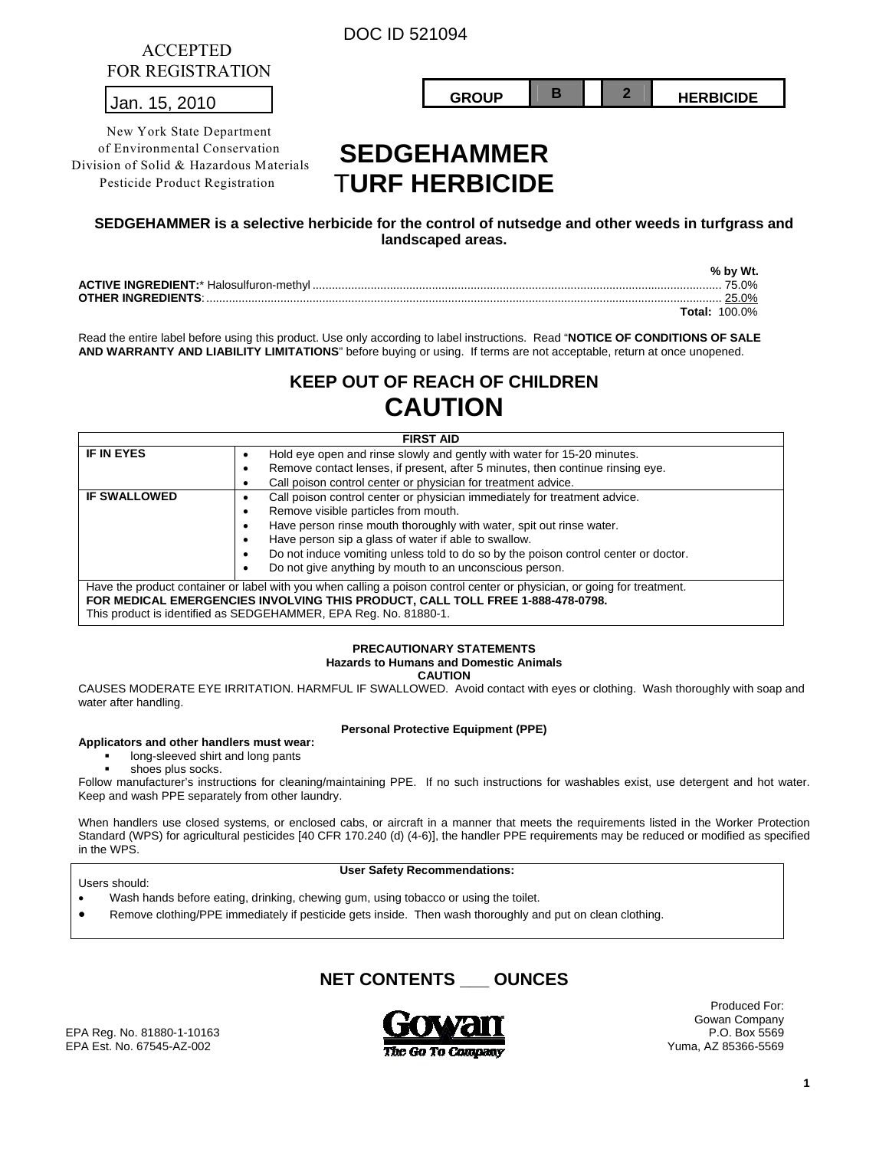DOC ID 521094

| 1 ORTOLOGIQ ITULIOIT |        |  |                  |
|----------------------|--------|--|------------------|
| הו<br>Jan.           | פווחפב |  | <b>HERBICIDE</b> |
|                      |        |  |                  |

# **SEDGEHAMMER**  T**URF HERBICIDE**

# **SEDGEHAMMER is a selective herbicide for the control of nutsedge and other weeds in turfgrass and landscaped areas.**

|  | % by Wt.             |
|--|----------------------|
|  | 75.0%                |
|  | 25.0%                |
|  | <b>Total: 100.0%</b> |

Read the entire label before using this product. Use only according to label instructions. Read "**NOTICE OF CONDITIONS OF SALE AND WARRANTY AND LIABILITY LIMITATIONS**" before buying or using. If terms are not acceptable, return at once unopened.

# **KEEP OUT OF REACH OF CHILDREN CAUTION**

| <b>FIRST AID</b>                                                               |                                                                                                                         |  |  |  |  |
|--------------------------------------------------------------------------------|-------------------------------------------------------------------------------------------------------------------------|--|--|--|--|
| <b>IF IN EYES</b>                                                              | Hold eye open and rinse slowly and gently with water for 15-20 minutes.                                                 |  |  |  |  |
|                                                                                | Remove contact lenses, if present, after 5 minutes, then continue rinsing eye.<br>٠                                     |  |  |  |  |
|                                                                                | Call poison control center or physician for treatment advice.                                                           |  |  |  |  |
| <b>IF SWALLOWED</b>                                                            | Call poison control center or physician immediately for treatment advice.                                               |  |  |  |  |
|                                                                                | Remove visible particles from mouth.<br>٠                                                                               |  |  |  |  |
|                                                                                | Have person rinse mouth thoroughly with water, spit out rinse water.                                                    |  |  |  |  |
|                                                                                | Have person sip a glass of water if able to swallow.                                                                    |  |  |  |  |
|                                                                                | Do not induce vomiting unless told to do so by the poison control center or doctor.                                     |  |  |  |  |
|                                                                                | Do not give anything by mouth to an unconscious person.<br>$\bullet$                                                    |  |  |  |  |
|                                                                                | Have the product container or label with you when calling a poison control center or physician, or going for treatment. |  |  |  |  |
| FOR MEDICAL EMERGENCIES INVOLVING THIS PRODUCT, CALL TOLL FREE 1-888-478-0798. |                                                                                                                         |  |  |  |  |
| This product is identified as SEDGEHAMMER, EPA Reg. No. 81880-1.               |                                                                                                                         |  |  |  |  |

# **PRECAUTIONARY STATEMENTS Hazards to Humans and Domestic Animals**

**CAUTION** 

CAUSES MODERATE EYE IRRITATION. HARMFUL IF SWALLOWED. Avoid contact with eyes or clothing. Wash thoroughly with soap and water after handling.

# **Applicators and other handlers must wear:**

ACCEPTED FOR REGISTRATION

New York State Department of Environmental Conservation Division of Solid & Hazardous Materials Pesticide Product Registration

### **Personal Protective Equipment (PPE)**

long-sleeved shirt and long pants

shoes plus socks.

Follow manufacturer's instructions for cleaning/maintaining PPE. If no such instructions for washables exist, use detergent and hot water. Keep and wash PPE separately from other laundry.

When handlers use closed systems, or enclosed cabs, or aircraft in a manner that meets the requirements listed in the Worker Protection Standard (WPS) for agricultural pesticides [40 CFR 170.240 (d) (4-6)], the handler PPE requirements may be reduced or modified as specified in the WPS.

### Users should:

**User Safety Recommendations:** 

- Wash hands before eating, drinking, chewing gum, using tobacco or using the toilet.
- Remove clothing/PPE immediately if pesticide gets inside. Then wash thoroughly and put on clean clothing.

**NET CONTENTS \_\_\_ OUNCES** 



Produced For: Gowan Company

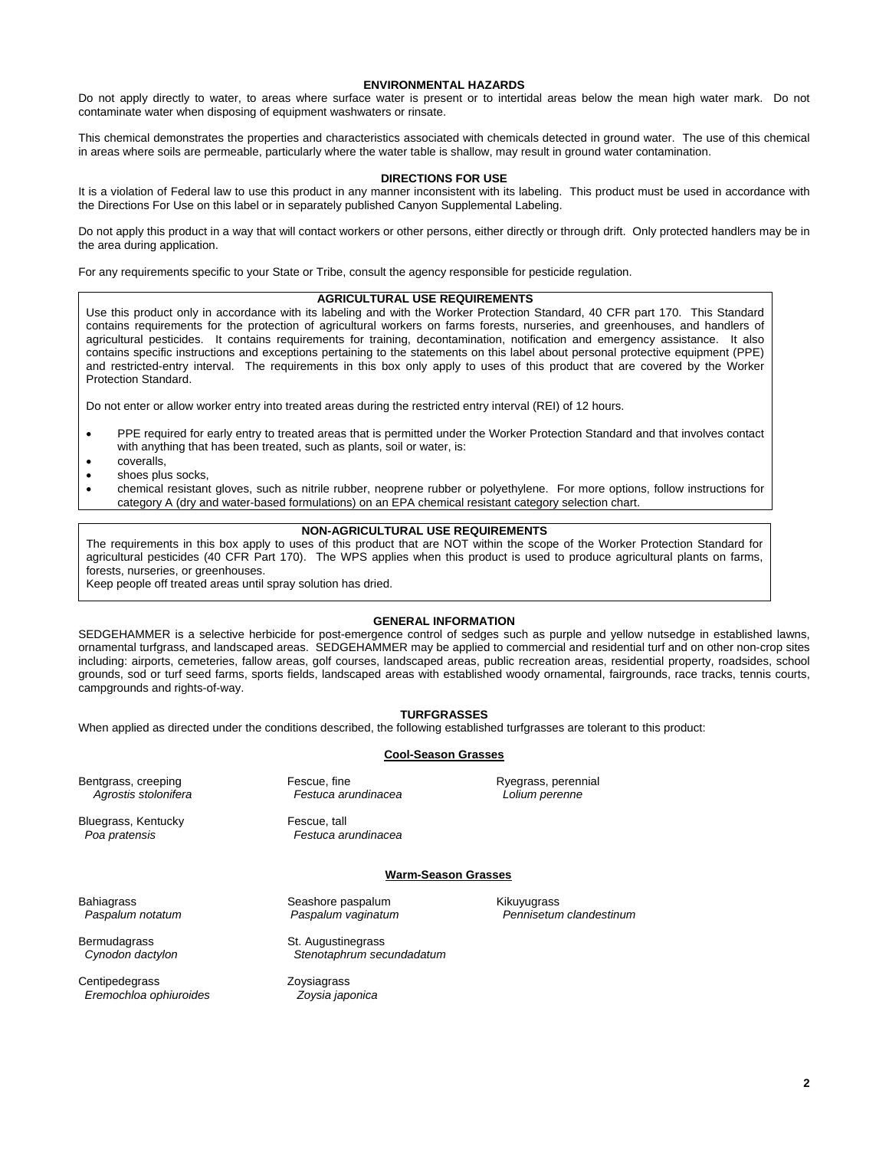#### **ENVIRONMENTAL HAZARDS**

Do not apply directly to water, to areas where surface water is present or to intertidal areas below the mean high water mark. Do not contaminate water when disposing of equipment washwaters or rinsate.

This chemical demonstrates the properties and characteristics associated with chemicals detected in ground water. The use of this chemical in areas where soils are permeable, particularly where the water table is shallow, may result in ground water contamination.

#### **DIRECTIONS FOR USE**

It is a violation of Federal law to use this product in any manner inconsistent with its labeling. This product must be used in accordance with the Directions For Use on this label or in separately published Canyon Supplemental Labeling.

Do not apply this product in a way that will contact workers or other persons, either directly or through drift. Only protected handlers may be in the area during application.

For any requirements specific to your State or Tribe, consult the agency responsible for pesticide regulation.

#### **AGRICULTURAL USE REQUIREMENTS**

Use this product only in accordance with its labeling and with the Worker Protection Standard, 40 CFR part 170. This Standard contains requirements for the protection of agricultural workers on farms forests, nurseries, and greenhouses, and handlers of agricultural pesticides. It contains requirements for training, decontamination, notification and emergency assistance. It also contains specific instructions and exceptions pertaining to the statements on this label about personal protective equipment (PPE) and restricted-entry interval. The requirements in this box only apply to uses of this product that are covered by the Worker Protection Standard.

Do not enter or allow worker entry into treated areas during the restricted entry interval (REI) of 12 hours.

- PPE required for early entry to treated areas that is permitted under the Worker Protection Standard and that involves contact with anything that has been treated, such as plants, soil or water, is:
- coveralls,
- shoes plus socks,
- chemical resistant gloves, such as nitrile rubber, neoprene rubber or polyethylene. For more options, follow instructions for category A (dry and water-based formulations) on an EPA chemical resistant category selection chart.

## **NON-AGRICULTURAL USE REQUIREMENTS**

The requirements in this box apply to uses of this product that are NOT within the scope of the Worker Protection Standard for agricultural pesticides (40 CFR Part 170). The WPS applies when this product is used to produce agricultural plants on farms, forests, nurseries, or greenhouses.

Keep people off treated areas until spray solution has dried.

### **GENERAL INFORMATION**

SEDGEHAMMER is a selective herbicide for post-emergence control of sedges such as purple and yellow nutsedge in established lawns, ornamental turfgrass, and landscaped areas. SEDGEHAMMER may be applied to commercial and residential turf and on other non-crop sites including: airports, cemeteries, fallow areas, golf courses, landscaped areas, public recreation areas, residential property, roadsides, school grounds, sod or turf seed farms, sports fields, landscaped areas with established woody ornamental, fairgrounds, race tracks, tennis courts, campgrounds and rights-of-way.

# **TURFGRASSES**

When applied as directed under the conditions described, the following established turfgrasses are tolerant to this product:

**Cool-Season Grasses**

Bentgrass, creeping Fescue, fine Fescue, fine Ryegrass, perennial Agrostis stolonifera<br>
Agrostis stolonifera Festuca arundinacea Colium perenne Agrostis stolonifera **Festuca** arundinacea

Bluegrass, Kentucky Fescue, tall

 *Poa pratensis Festuca arundinacea* 

#### **Warm-Season Grasses**

Bahiagrass Seashore paspalum Kikuyugrass Seashore paspalum Kikuyugrass<br>Paspalum notatum Seashore Paspalum vaqinatum Channisetun

Bermudagrass St. Augustinegrass

Centipedegrass Zoysiagrass  *Eremochloa ophiuroides Zoysia japonica* 

 *Cynodon dactylon Stenotaphrum secundadatum* 

 *Paspalum notatum Paspalum vaginatum Pennisetum clandestinum* 

**2**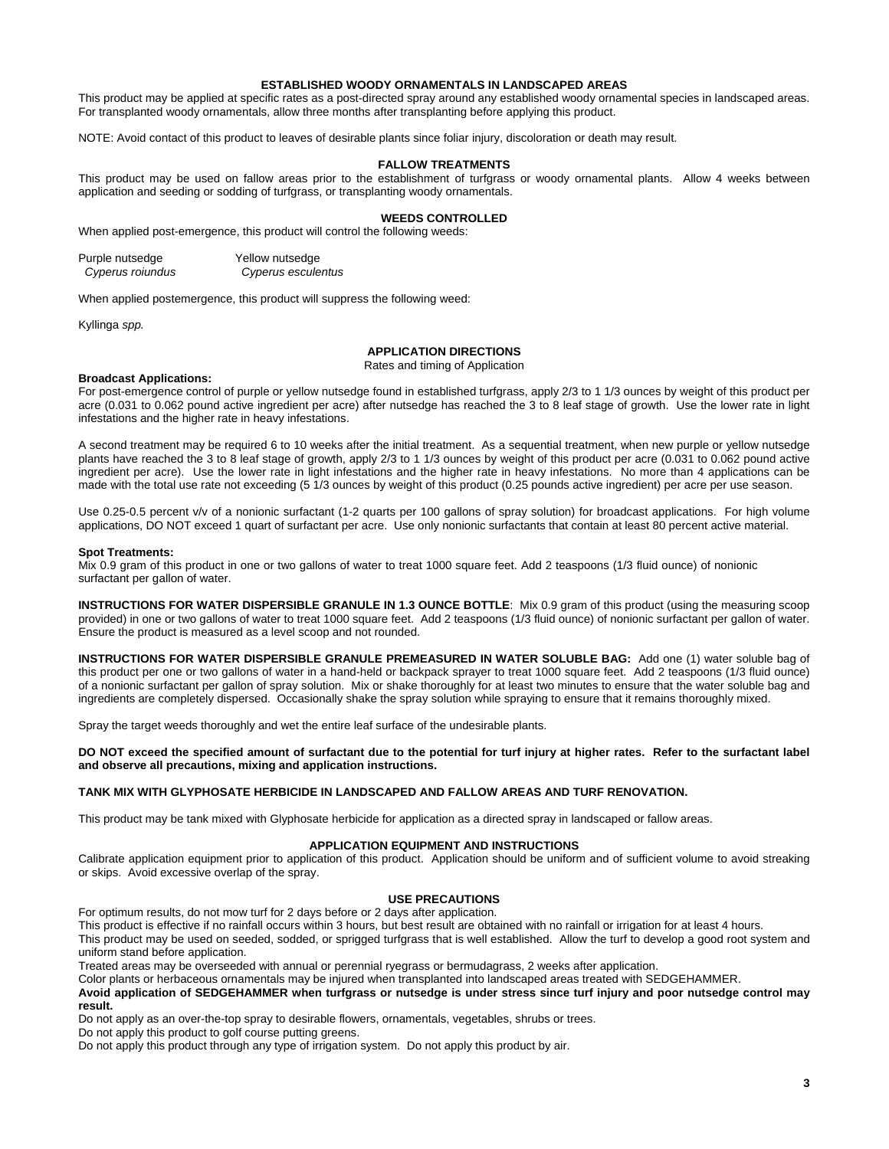### **ESTABLISHED WOODY ORNAMENTALS IN LANDSCAPED AREAS**

This product may be applied at specific rates as a post-directed spray around any established woody ornamental species in landscaped areas. For transplanted woody ornamentals, allow three months after transplanting before applying this product.

NOTE: Avoid contact of this product to leaves of desirable plants since foliar injury, discoloration or death may result.

#### **FALLOW TREATMENTS**

This product may be used on fallow areas prior to the establishment of turfgrass or woody ornamental plants. Allow 4 weeks between application and seeding or sodding of turfgrass, or transplanting woody ornamentals.

#### **WEEDS CONTROLLED**

When applied post-emergence, this product will control the following weeds:

| Purple nutsedge  | Yellow nutsedge    |  |  |
|------------------|--------------------|--|--|
| Cyperus roiundus | Cyperus esculentus |  |  |

When applied postemergence, this product will suppress the following weed:

Kyllinga *spp.*

## **APPLICATION DIRECTIONS**

Rates and timing of Application

#### **Broadcast Applications:**

For post-emergence control of purple or yellow nutsedge found in established turfgrass, apply 2/3 to 1 1/3 ounces by weight of this product per acre (0.031 to 0.062 pound active ingredient per acre) after nutsedge has reached the 3 to 8 leaf stage of growth. Use the lower rate in light infestations and the higher rate in heavy infestations.

A second treatment may be required 6 to 10 weeks after the initial treatment. As a sequential treatment, when new purple or yellow nutsedge plants have reached the 3 to 8 leaf stage of growth, apply 2/3 to 1 1/3 ounces by weight of this product per acre (0.031 to 0.062 pound active ingredient per acre). Use the lower rate in light infestations and the higher rate in heavy infestations. No more than 4 applications can be made with the total use rate not exceeding (5 1/3 ounces by weight of this product (0.25 pounds active ingredient) per acre per use season.

Use 0.25-0.5 percent v/v of a nonionic surfactant (1-2 quarts per 100 gallons of spray solution) for broadcast applications. For high volume applications, DO NOT exceed 1 quart of surfactant per acre. Use only nonionic surfactants that contain at least 80 percent active material.

#### **Spot Treatments:**

Mix 0.9 gram of this product in one or two gallons of water to treat 1000 square feet. Add 2 teaspoons (1/3 fluid ounce) of nonionic surfactant per gallon of water.

**INSTRUCTIONS FOR WATER DISPERSIBLE GRANULE IN 1.3 OUNCE BOTTLE**: Mix 0.9 gram of this product (using the measuring scoop provided) in one or two gallons of water to treat 1000 square feet. Add 2 teaspoons (1/3 fluid ounce) of nonionic surfactant per gallon of water. Ensure the product is measured as a level scoop and not rounded.

**INSTRUCTIONS FOR WATER DISPERSIBLE GRANULE PREMEASURED IN WATER SOLUBLE BAG:** Add one (1) water soluble bag of this product per one or two gallons of water in a hand-held or backpack sprayer to treat 1000 square feet. Add 2 teaspoons (1/3 fluid ounce) of a nonionic surfactant per gallon of spray solution. Mix or shake thoroughly for at least two minutes to ensure that the water soluble bag and ingredients are completely dispersed. Occasionally shake the spray solution while spraying to ensure that it remains thoroughly mixed.

Spray the target weeds thoroughly and wet the entire leaf surface of the undesirable plants.

**DO NOT exceed the specified amount of surfactant due to the potential for turf injury at higher rates. Refer to the surfactant label and observe all precautions, mixing and application instructions.** 

#### **TANK MIX WITH GLYPHOSATE HERBICIDE IN LANDSCAPED AND FALLOW AREAS AND TURF RENOVATION.**

This product may be tank mixed with Glyphosate herbicide for application as a directed spray in landscaped or fallow areas.

#### **APPLICATION EQUIPMENT AND INSTRUCTIONS**

Calibrate application equipment prior to application of this product. Application should be uniform and of sufficient volume to avoid streaking or skips. Avoid excessive overlap of the spray.

#### **USE PRECAUTIONS**

For optimum results, do not mow turf for 2 days before or 2 days after application.

This product is effective if no rainfall occurs within 3 hours, but best result are obtained with no rainfall or irrigation for at least 4 hours.

This product may be used on seeded, sodded, or sprigged turfgrass that is well established. Allow the turf to develop a good root system and uniform stand before application.

Treated areas may be overseeded with annual or perennial ryegrass or bermudagrass, 2 weeks after application.

Color plants or herbaceous ornamentals may be injured when transplanted into landscaped areas treated with SEDGEHAMMER. **Avoid application of SEDGEHAMMER when turfgrass or nutsedge is under stress since turf injury and poor nutsedge control may result.** 

Do not apply as an over-the-top spray to desirable flowers, ornamentals, vegetables, shrubs or trees.

Do not apply this product to golf course putting greens.

Do not apply this product through any type of irrigation system. Do not apply this product by air.